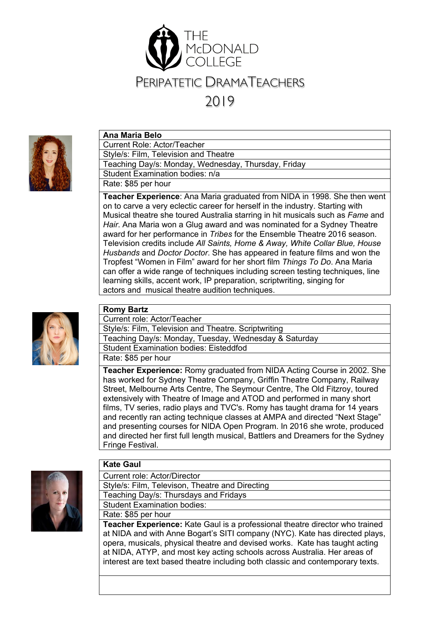



### **Ana Maria Belo**

Current Role: Actor/Teacher Style/s: Film, Television and Theatre Teaching Day/s: Monday, Wednesday, Thursday, Friday Student Examination bodies: n/a Rate: \$85 per hour

**Teacher Experience**: Ana Maria graduated from NIDA in 1998. She then went on to carve a very eclectic career for herself in the industry. Starting with Musical theatre she toured Australia starring in hit musicals such as *Fame* and *Hair*. Ana Maria won a Glug award and was nominated for a Sydney Theatre award for her performance in *Tribes* for the Ensemble Theatre 2016 season. Television credits include *All Saints, Home & Away, White Collar Blue, House Husbands* and *Doctor Doctor*. She has appeared in feature films and won the Tropfest "Women in Film" award for her short film *Things To Do*. Ana Maria can offer a wide range of techniques including screen testing techniques, line learning skills, accent work, IP preparation, scriptwriting, singing for actors and musical theatre audition techniques.



#### **Romy Bartz** Current role: Actor/Teacher

Style/s: Film, Television and Theatre. Scriptwriting Teaching Day/s: Monday, Tuesday, Wednesday & Saturday Student Examination bodies: Eisteddfod Rate: \$85 per hour

**Teacher Experience:** Romy graduated from NIDA Acting Course in 2002. She has worked for Sydney Theatre Company, Griffin Theatre Company, Railway Street, Melbourne Arts Centre, The Seymour Centre, The Old Fitzroy, toured extensively with Theatre of Image and ATOD and performed in many short films, TV series, radio plays and TVC's. Romy has taught drama for 14 years and recently ran acting technique classes at AMPA and directed "Next Stage" and presenting courses for NIDA Open Program. In 2016 she wrote, produced and directed her first full length musical, Battlers and Dreamers for the Sydney Fringe Festival.



### **Kate Gaul**

Current role: Actor/Director Style/s: Film, Televison, Theatre and Directing Teaching Day/s: Thursdays and Fridays Student Examination bodies:

Rate: \$85 per hour

**Teacher Experience:** Kate Gaul is a professional theatre director who trained at NIDA and with Anne Bogart's SITI company (NYC). Kate has directed plays, opera, musicals, physical theatre and devised works. Kate has taught acting at NIDA, ATYP, and most key acting schools across Australia. Her areas of interest are text based theatre including both classic and contemporary texts.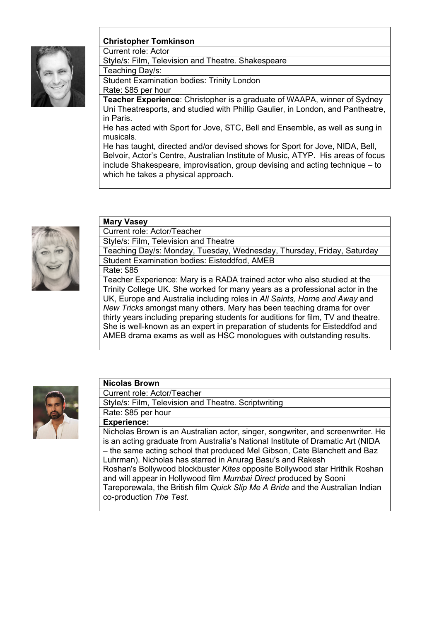

## **Christopher Tomkinson**

Current role: Actor Style/s: Film, Television and Theatre. Shakespeare Teaching Day/s: Student Examination bodies: Trinity London Rate: \$85 per hour **Teacher Experience**: Christopher is a graduate of WAAPA, winner of Sydney

Uni Theatresports, and studied with Phillip Gaulier, in London, and Pantheatre, in Paris.

He has acted with Sport for Jove, STC, Bell and Ensemble, as well as sung in musicals.

He has taught, directed and/or devised shows for Sport for Jove, NIDA, Bell, Belvoir, Actor's Centre, Australian Institute of Music, ATYP. His areas of focus include Shakespeare, improvisation, group devising and acting technique – to which he takes a physical approach.



# **Mary Vasey**

Current role: Actor/Teacher Style/s: Film, Television and Theatre

Teaching Day/s: Monday, Tuesday, Wednesday, Thursday, Friday, Saturday Student Examination bodies: Eisteddfod, AMEB

Rate: \$85 Teacher Experience: Mary is a RADA trained actor who also studied at the Trinity College UK. She worked for many years as a professional actor in the UK, Europe and Australia including roles in *All Saints, Home and Away* and *New Tricks* amongst many others. Mary has been teaching drama for over thirty years including preparing students for auditions for film, TV and theatre. She is well-known as an expert in preparation of students for Eisteddfod and AMEB drama exams as well as HSC monologues with outstanding results.



## **Nicolas Brown**

Current role: Actor/Teacher

Style/s: Film, Television and Theatre. Scriptwriting

### Rate: \$85 per hour

**Experience:**

Nicholas Brown is an Australian actor, singer, songwriter, and screenwriter. He is an acting graduate from Australia's National Institute of Dramatic Art (NIDA – the same acting school that produced Mel Gibson, Cate Blanchett and Baz Luhrman). Nicholas has starred in Anurag Basu's and Rakesh Roshan's Bollywood blockbuster *Kites* opposite Bollywood star Hrithik Roshan and will appear in Hollywood film *Mumbai Direct* produced by Sooni Tareporewala, the British film *Quick Slip Me A Bride* and the Australian Indian co-production *The Test.*